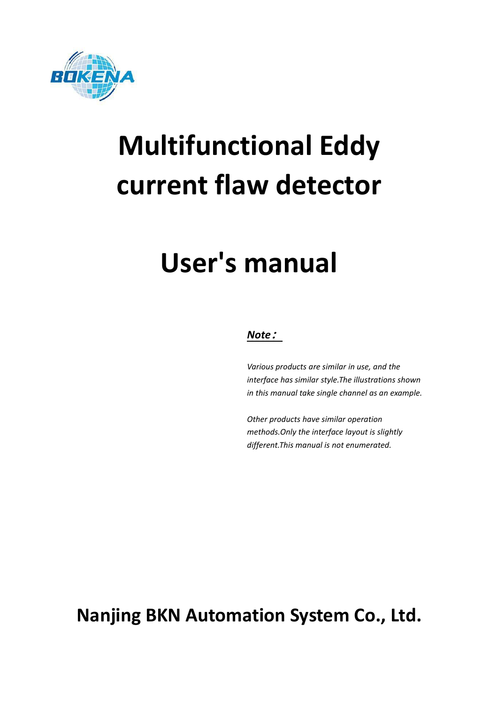

# **Multifunctional Eddy current flaw detector**

## **User's manual**

#### *Note***:**

*Various products are similar in use, and the interface hassimilar style.The illustrations shown in this manual take single channel as an example.*

*Other products have similar operation methods.Only the interface layout is slightly different.This manual is not enumerated.*

**Nanjing BKN Automation System Co., Ltd.**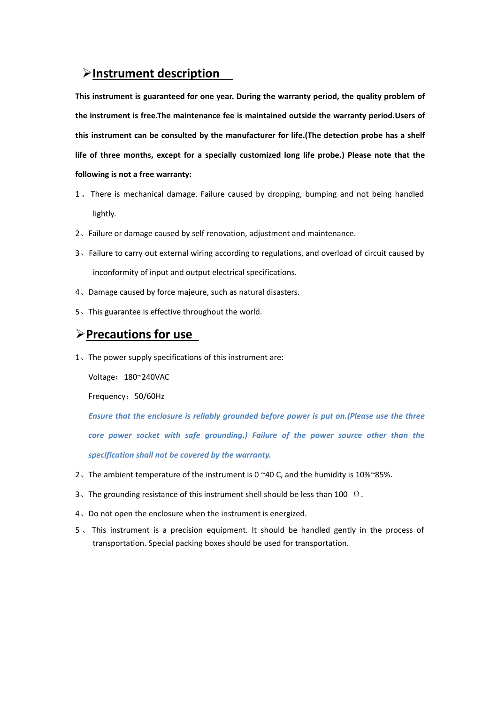### **Instrument description**

**This instrument is guaranteed for one year. During the warranty period, the quality problem of the instrument is free.The maintenance fee is maintained outside the warranty period.Users of this instrument can be consulted by the manufacturer for life.(The detection probe has a shelf life of three months, except for a specially customized long life probe.) Please note that the following is not a free warranty:**

- 1、There is mechanical damage. Failure caused bydropping, bumping and not being handled lightly.
- 2、Failure or damage caused by self renovation, adjustment and maintenance.
- 3、Failure to carry out external wiring according to regulations, and overload of circuit caused by inconformity of input and output electrical specifications.
- 4、Damage caused by force majeure, such as natural disasters.
- 5、This guarantee is effective throughout the world.

#### **Precautions for use**

1、The power supply specifications of this instrument are:

Voltage: 180~240VAC

Frequency:50/60Hz

*Ensure that the enclosure is reliably grounded before power is put on.(Please use the three core power socket with safe grounding.) Failure of the power source other than the specification shall not be covered by the warranty.*

- 2. The ambient temperature of the instrument is 0 $~$ 40 C, and the humidity is 10% $~$ 85%.
- 3. The grounding resistance of this instrument shell should be less than 100  $\Omega$ .
- 4、Do not open the enclosure when the instrument is energized.
- 5. This instrument is a precision equipment. It should be handled gently in the process of transportation. Special packing boxes should be used for transportation.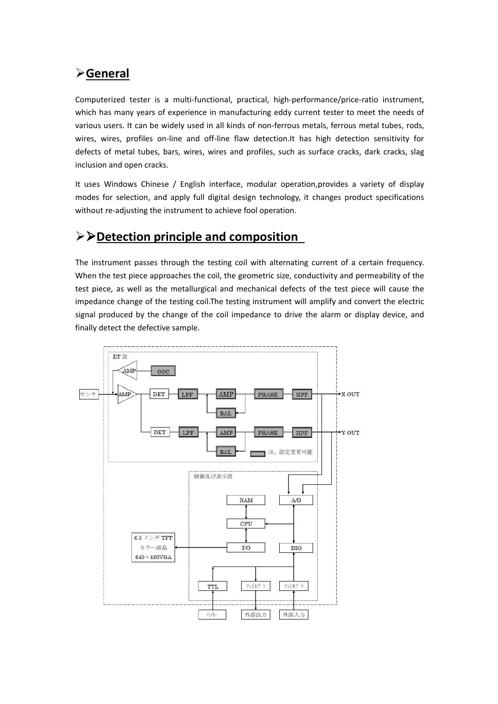## **General**

Computerized tester is a multi-functional, practical, high-performance/price-ratio instrument,<br>which has many years of experience in manufacturing eddy current tester to meet the needs of various users. It can be widely used in all kinds of non-ferrous metals, ferrous metal tubes, rods, wires, wires, profiles on-line and off-line flaw detection.It has high detection sensitivity for defects of metal tubes, bars, wires, wires and profiles, such as surface cracks, dark cracks, slag inclusion and open cracks.

It uses Windows Chinese / English interface, modular operation,provides a variety of display modes for selection, and apply full digital design technology, it changes product specifications without re-adjusting the instrument to achieve fool operation.

## **Detection principle and composition**

The instrument passes through the testing coil with alternating current of a certain frequency. When the test piece approaches the coil, the geometric size, conductivity and permeability of the test piece, as well as the metallurgical and mechanical defects of the test piece will cause the impedance change of the testing coil.The testing instrument will amplify and convert the electric signal produced by the change of the coil impedance to drive the alarm or display device, and finally detect the defective sample.

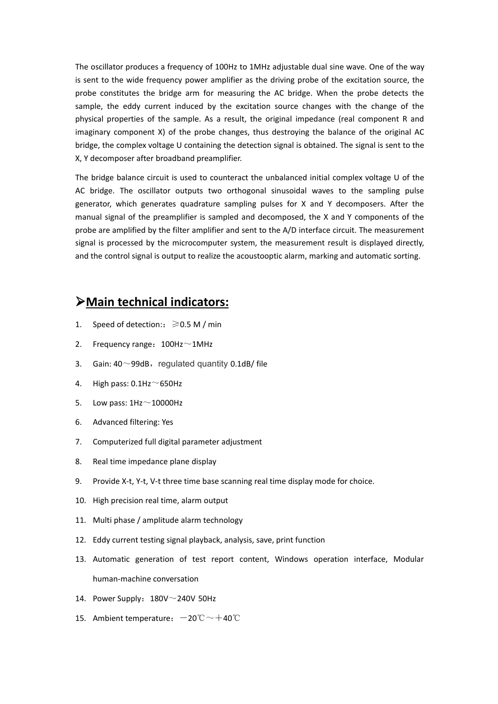The oscillator produces a frequency of 100Hz to 1MHz adjustable dual sine wave. One of the way is sent to the wide frequency power amplifier as the driving probe of the excitation source, the probe constitutes the bridge arm for measuring the AC bridge. When the probe detects the sample, the eddy current induced by the excitation source changes with the change of the physical properties of the sample. As a result, the original impedance (real component R and imaginary component X) of the probe changes, thus destroying the balance of the original AC bridge, the complex voltage U containing the detection signal is obtained. The signal is sent to the X, Y decomposer after broadband preamplifier.

The bridge balance circuit is used to counteract the unbalanced initial complex voltage U of the AC bridge. The oscillator outputs two orthogonal sinusoidal waves to the sampling pulse generator, which generates quadrature sampling pulses for X and Y decomposers. After the manual signal of the preamplifier is sampled and decomposed, the X and Y components of the probe are amplified by the filter amplifier and sent to the A/D interface circuit. The measurement signal is processed by the microcomputer system, the measurement result is displayed directly, and the control signal is output to realize the acoustooptic alarm, marking and automatic sorting.

#### **Main technical indicators:**

- 1. Speed of detection::  $\geq 0.5$  M / min
- 2. Frequency range:  $100$ Hz $\sim$ 1MHz
- 3. Gain:  $40^{\circ}$ 99dB, regulated quantity 0.1dB/ file
- 4. High pass:  $0.1$ Hz $\sim$ 650Hz
- 5. Low pass:  $1\text{Hz} \sim 10000\text{Hz}$
- 6. Advanced filtering: Yes
- 7. Computerized full digital parameter adjustment
- 8. Real time impedance plane display
- 9. Provide X-t, Y-t, V-t three time base scanning real time display mode for choice.
- 10. High precision real time, alarm output
- 11. Multi phase / amplitude alarm technology
- 12. Eddy current testing signal playback, analysis, save, print function
- 13. Automatic generation of test report content, Windows operation interface, Modular human-machine conversation
- 14. Power Supply:  $180V^\sim 240V$  50Hz
- 15. Ambient temperature:  $-20^{\circ}\text{C} \sim +40^{\circ}\text{C}$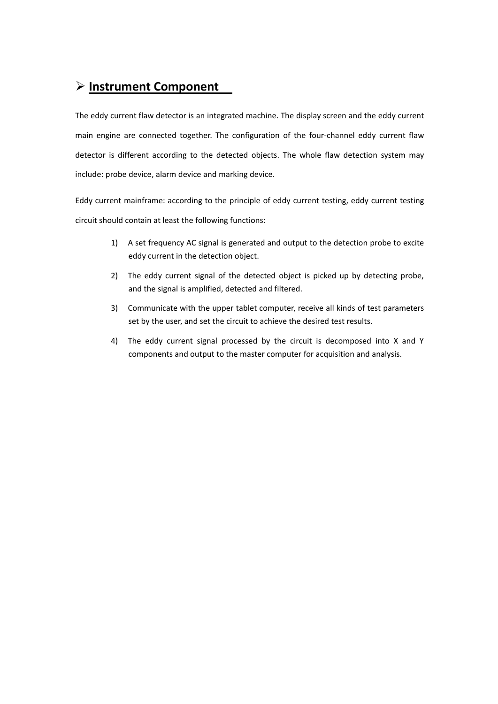## **Instrument Component**

The eddy current flaw detector is an integrated machine. The display screen and the eddy current main engine are connected together. The configuration of the four-channel eddy current flaw detector is different according to the detected objects. The whole flaw detection system may include: probe device, alarm device and marking device.

Eddy current mainframe: according to the principle of eddy current testing, eddy current testing circuit should contain at least the following functions:

- 1) A set frequency AC signal is generated and output to the detection probe to excite eddy current in the detection object.
- 2) The eddy current signal of the detected object is picked up by detecting probe, and the signal is amplified, detected and filtered.
- 3) Communicate with the upper tablet computer, receive all kinds of test parameters set by the user, and set the circuit to achieve the desired test results.
- 4) The eddy current signal processed by the circuit is decomposed into X and Y components and output to the master computer for acquisition and analysis.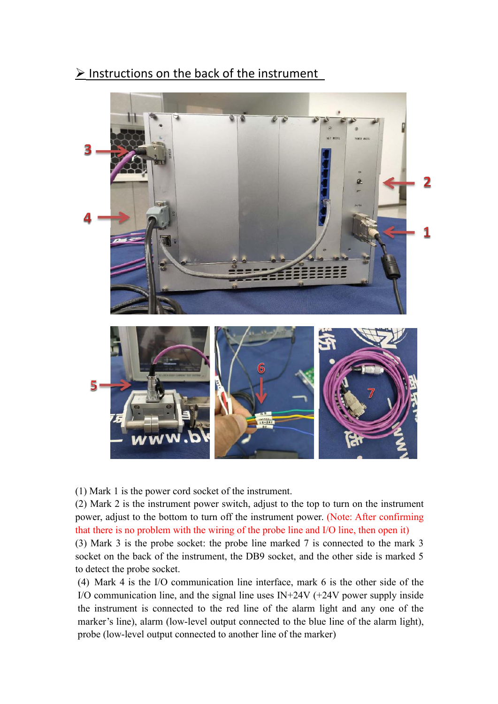$\triangleright$  Instructions on the back of the instrument



(1) Mark 1 is the power cord socket of the instrument.

(2) Mark 2 is the instrument power switch, adjust to the top to turn on the instrument power, adjust to the bottom to turn off the instrument power. (Note: After confirming that there is no problem with the wiring of the probe line and I/O line, then open it)

(3) Mark 3 is the probe socket: the probe line marked 7 is connected to the mark 3 socket on the back of the instrument, the DB9 socket, and the other side is marked 5 to detect the probe socket.

(4) Mark 4 is the I/O communication line interface, mark 6 is the other side of the I/O communication line, and the signal line uses  $IN+24V$  (+24V power supply inside the instrument is connected to the red line of the alarm light and any one of the marker's line), alarm (low-level output connected to the blue line of the alarm light), probe (low-level output connected to another line of the marker)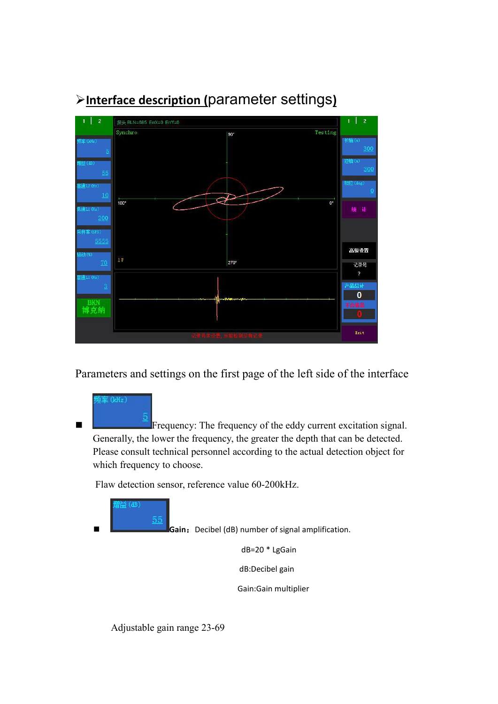

## **Interface description (**parameter settings**)**

Parameters and settings on the first page of the left side of the interface



 Frequency: The frequency of the eddy current excitation signal. Generally, the lower the frequency, the greater the depth that can be detected. Please consult technical personnel according to the actual detection object for which frequency to choose.

Flaw detection sensor, reference value 60-200kHz.



**Gain**:Decibel (dB) number of signal amplification.

dB=20 \* LgGain

dB:Decibel gain

Gain:Gain multiplier

Adjustable gain range 23-69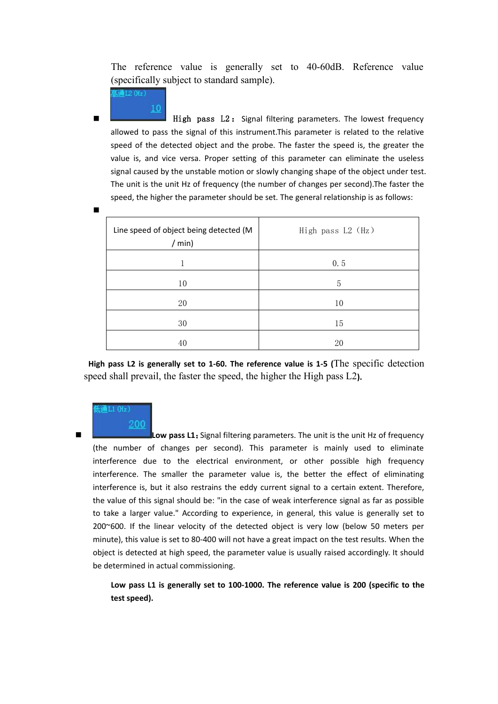The reference value is generally set to 40-60dB. Reference value (specifically subject to standard sample).

High pass  $L2$ : Signal filtering parameters. The lowest frequency allowed to pass the signal of this instrument. This parameter is related to the relative speed of the detected object and the probe. The faster the speed is, the greater the value is, and vice versa. Proper setting of this parameter can eliminate the useless signal caused by the unstable motion or slowly changing shape of the object under test. The unit is the unit Hz of frequency (the number of changes per second).The faster the speed, the higher the parameter should be set. The general relationship is as follows:

| Line speed of object being detected (M<br>/min) | High pass L2 (Hz) |
|-------------------------------------------------|-------------------|
|                                                 | 0.5               |
| 10                                              | 5                 |
| 20                                              | 10                |
| 30                                              | 15                |
| 40                                              | 20                |

**High pass L2 is generally set to 1-60. The reference value is 1-5 (**The specific detection speed shall prevail, the faster the speed, the higher the High pass L2**).**

#### 通L1 (Hz)

200

**Experimental contracts** 

10

通L2 (Hz)

 **Low pass L1**:Signal filtering parameters. The unit is the unit Hz of frequency (the number of changes per second). This parameter is mainly used to eliminate interference due to the electrical environment, or other possible high frequency interference. The smaller the parameter value is, the better the effect of eliminating interference is, but it also restrains the eddy current signal to a certain extent. Therefore, the value of this signal should be: "in the case of weak interference signal as far as possible to take a larger value." According to experience, in general, this value is generally set to  $200^{\circ}600$ . If the linear velocity of the detected object is very low (below 50 meters per minute), this value is set to 80-400 will not have a great impact on the test results. When the object is detected at high speed, the parameter value is usually raised accordingly. It should be determined in actual commissioning.

**Low pass L1 is generally set to 100-1000. The reference value is 200 (specific to the test speed).**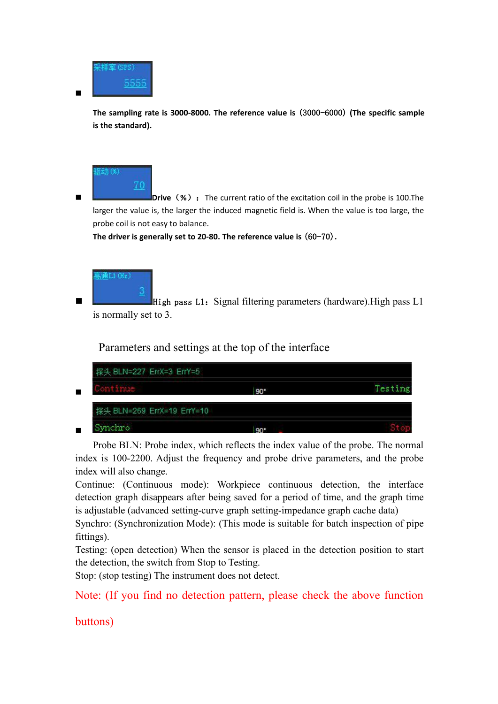

**The sampling rate is 3000-8000. The reference value is** (3000-6000) **(The specific sample is the standard).**



**Drive** (%): The current ratio of the excitation coil in the probe is 100. The larger the value is, the larger the induced magnetic field is. When the value is too large, the probe coil is not easy to balance.

**The driver is generally set to 20-80. The reference value is** (60-70)**.**



High pass L1: Signal filtering parameters (hardware). High pass L1 is normally set to 3.

Parameters and settings at the top of the interface



Probe BLN: Probe index, which reflects the index value of the probe. The normal index is 100-2200. Adjust the frequency and probe drive parameters, and the probe index will also change.

Continue: (Continuous mode): Workpiece continuous detection, the interface detection graph disappears after being saved for a period of time, and the graph time is adjustable (advanced setting-curve graph setting-impedance graph cache data)

Synchro: (Synchronization Mode): (This mode is suitable for batch inspection of pipe fittings).

Testing: (open detection) When the sensor is placed in the detection position to start the detection, the switch from Stop to Testing.

Stop: (stop testing) The instrument does not detect.

Note: (If you find no detection pattern, please check the above function

buttons)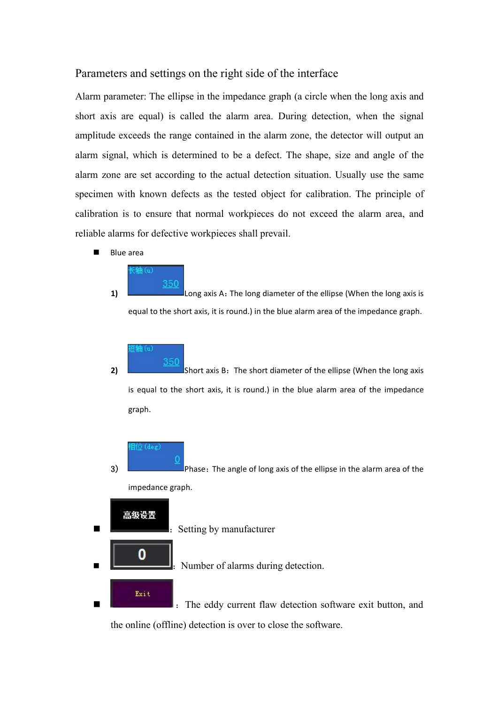#### Parameters and settings on the right side of the interface

Alarm parameter: The ellipse in the impedance graph (a circle when the long axis and short axis are equal) is called the alarm area. During detection, when the signal amplitude exceeds the range contained in the alarm zone, the detector will output an alarm signal, which is determined to be a defect. The shape, size and angle of the alarm zone are set according to the actual detection situation. Usually use the same specimen with known defects as the tested object for calibration. The principle of calibration is to ensure that normal workpieces do not exceed the alarm area, and reliable alarms for defective workpieces shall prevail.

Blue area



1) Long axis A: The long diameter of the ellipse (When the long axis is equal to the short axis, it is round.) in the blue alarm area of the impedance graph.

350

**2)** Short axis B: The short diameter of the ellipse (When the long axis is equal to the short axis, it is round.) in the blue alarm area of the impedance graph.

 $\mathbb{H}^{2}_{\mathbb{Z}}\left( \deg\right)$ 

3) Phase: The angle of long axis of the ellipse in the alarm area of the impedance graph.



the online (offline) detection is over to close the software.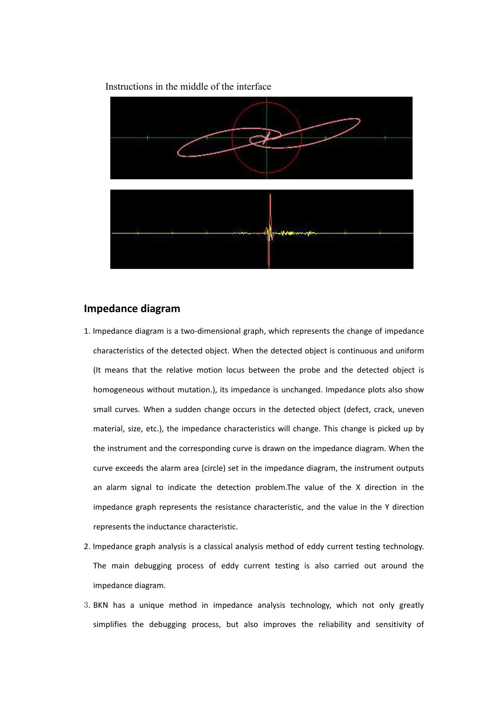



#### **Impedance diagram**

- 1. Impedance diagram is a two-dimensional graph, which represents the change of impedance characteristics of the detected object. When the detected object is continuous and uniform (It means that the relative motion locus between the probe and the detected object is homogeneous without mutation.), its impedance is unchanged. Impedance plots also show small curves. When a sudden change occurs in the detected object (defect, crack, uneven material, size, etc.), the impedance characteristics will change. This change is picked up by the instrument and the corresponding curve is drawn on the impedance diagram. When the curve exceeds the alarm area (circle) set in the impedance diagram, the instrument outputs an alarm signal to indicate the detection problem.The value of the X direction in the impedance graph represents the resistance characteristic, and the value in the Y direction represents the inductance characteristic.
- 2. Impedance graph analysis is a classical analysis method of eddy current testing technology. The main debugging process of eddy current testing is also carried out around the impedance diagram.
- 3.BKN has a unique method in impedance analysis technology, which not only greatly simplifies the debugging process, but also improves the reliability and sensitivity of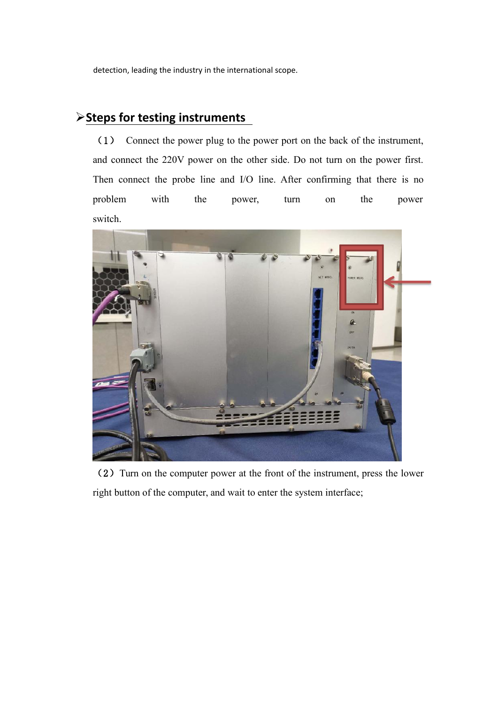detection, leading the industry in the international scope.

## **Steps for testing instruments**

(1) Connect the power plug to the power port on the back of the instrument, and connect the 220V power on the other side. Do not turn on the power first. Then connect the probe line and I/O line. After confirming that there is no problem with the power, turn on the power switch.



(2) Turn on the computer power at the front of the instrument, press the lower right button of the computer, and wait to enter the system interface;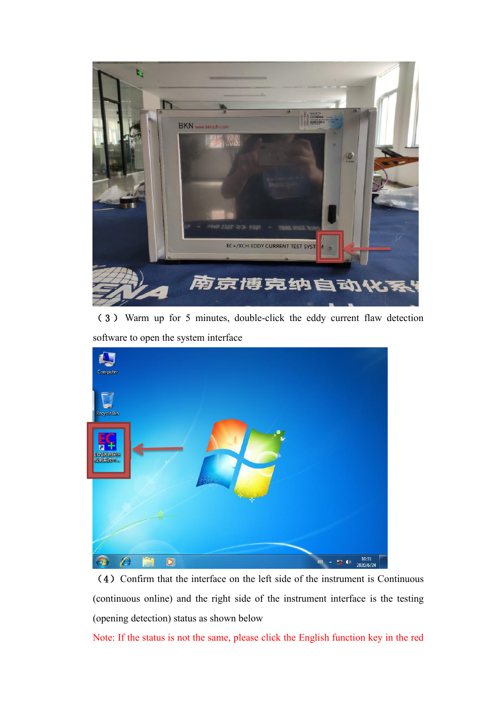

( 3 ) Warm up for 5 minutes, double-click the eddy current flaw detection software to open the system interface



(4) Confirm that the interface on the left side of the instrument is Continuous (continuous online) and the right side of the instrument interface is the testing (opening detection) status as shown below

Note: If the status is not the same, please click the English function key in the red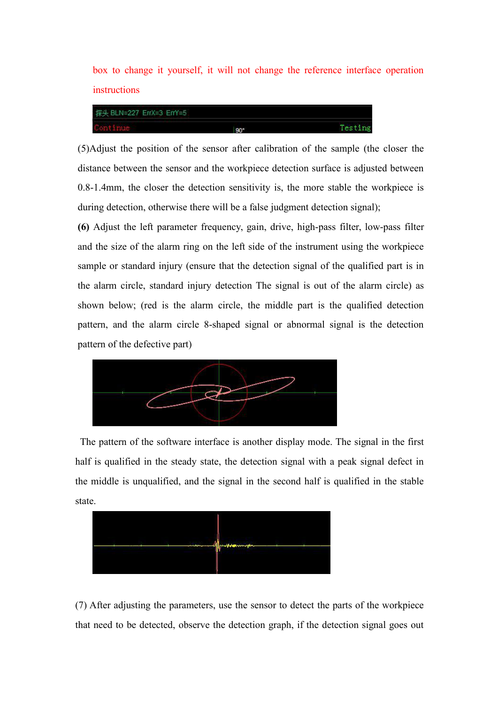box to change it yourself, it will not change the reference interface operation instructions



(5)Adjust the position of the sensor after calibration of the sample (the closer the distance between the sensor and the workpiece detection surface is adjusted between 0.8-1.4mm, the closer the detection sensitivity is, the more stable the workpiece is during detection, otherwise there will be a false judgment detection signal);

**(6)** Adjust the left parameter frequency, gain, drive, high-pass filter, low-pass filter and the size of the alarm ring on the left side of the instrument using the workpiece sample or standard injury (ensure that the detection signal of the qualified part is in the alarm circle, standard injury detection The signal is out of the alarm circle) as shown below; (red is the alarm circle, the middle part is the qualified detection pattern, and the alarm circle 8-shaped signal or abnormal signal is the detection pattern of the defective part)



The pattern of the software interface is another display mode. The signal in the first half is qualified in the steady state, the detection signal with a peak signal defect in the middle is unqualified, and the signal in the second half is qualified in the stable state.



(7) After adjusting the parameters, use the sensor to detect the parts of the workpiece that need to be detected, observe the detection graph, if the detection signal goes out